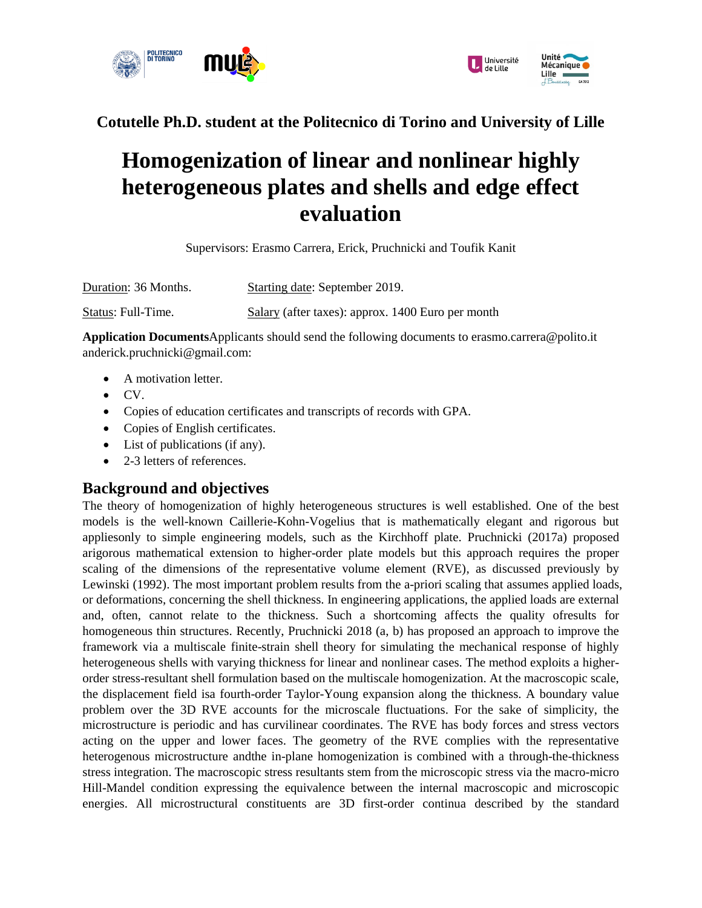



**Cotutelle Ph.D. student at the Politecnico di Torino and University of Lille** 

## **Homogenization of linear and nonlinear highly heterogeneous plates and shells and edge effect evaluation**

Supervisors: Erasmo Carrera, Erick, Pruchnicki and Toufik Kanit

Duration: 36 Months. Starting date: September 2019. Status: Full-Time. Salary (after taxes): approx. 1400 Euro per month

**Application Documents**Applicants should send the following documents to erasmo.carrera@polito.it anderick.pruchnicki@gmail.com:

- A motivation letter.
- CV.
- Copies of education certificates and transcripts of records with GPA.
- Copies of English certificates.
- List of publications (if any).
- 2-3 letters of references.

## **Background and objectives**

The theory of homogenization of highly heterogeneous structures is well established. One of the best models is the well-known Caillerie-Kohn-Vogelius that is mathematically elegant and rigorous but appliesonly to simple engineering models, such as the Kirchhoff plate. Pruchnicki (2017a) proposed arigorous mathematical extension to higher-order plate models but this approach requires the proper scaling of the dimensions of the representative volume element (RVE), as discussed previously by Lewinski (1992). The most important problem results from the a-priori scaling that assumes applied loads, or deformations, concerning the shell thickness. In engineering applications, the applied loads are external and, often, cannot relate to the thickness. Such a shortcoming affects the quality ofresults for homogeneous thin structures. Recently, Pruchnicki 2018 (a, b) has proposed an approach to improve the framework via a multiscale finite-strain shell theory for simulating the mechanical response of highly heterogeneous shells with varying thickness for linear and nonlinear cases. The method exploits a higherorder stress-resultant shell formulation based on the multiscale homogenization. At the macroscopic scale, the displacement field isa fourth-order Taylor-Young expansion along the thickness. A boundary value problem over the 3D RVE accounts for the microscale fluctuations. For the sake of simplicity, the microstructure is periodic and has curvilinear coordinates. The RVE has body forces and stress vectors acting on the upper and lower faces. The geometry of the RVE complies with the representative heterogenous microstructure andthe in-plane homogenization is combined with a through-the-thickness stress integration. The macroscopic stress resultants stem from the microscopic stress via the macro-micro Hill-Mandel condition expressing the equivalence between the internal macroscopic and microscopic energies. All microstructural constituents are 3D first-order continua described by the standard